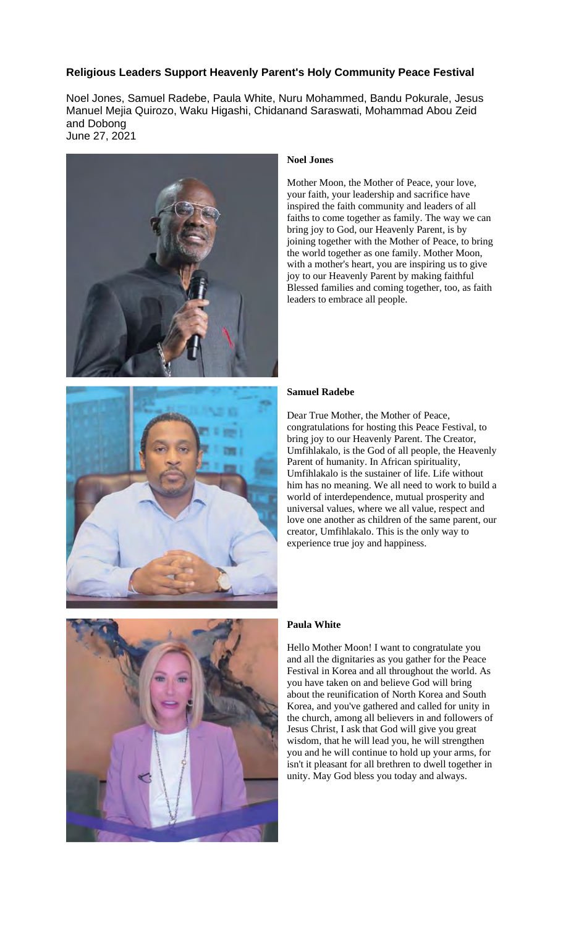# **Religious Leaders Support Heavenly Parent's Holy Community Peace Festival**

Noel Jones, Samuel Radebe, Paula White, Nuru Mohammed, Bandu Pokurale, Jesus Manuel Mejia Quirozo, Waku Higashi, Chidanand Saraswati, Mohammad Abou Zeid and Dobong June 27, 2021



## **Noel Jones**

Mother Moon, the Mother of Peace, your love, your faith, your leadership and sacrifice have inspired the faith community and leaders of all faiths to come together as family. The way we can bring joy to God, our Heavenly Parent, is by joining together with the Mother of Peace, to bring the world together as one family. Mother Moon, with a mother's heart, you are inspiring us to give joy to our Heavenly Parent by making faithful Blessed families and coming together, too, as faith leaders to embrace all people.

## **Samuel Radebe**

Dear True Mother, the Mother of Peace, congratulations for hosting this Peace Festival, to bring joy to our Heavenly Parent. The Creator, Umfihlakalo, is the God of all people, the Heavenly Parent of humanity. In African spirituality, Umfihlakalo is the sustainer of life. Life without him has no meaning. We all need to work to build a world of interdependence, mutual prosperity and universal values, where we all value, respect and love one another as children of the same parent, our creator, Umfihlakalo. This is the only way to experience true joy and happiness.



### **Paula White**

Hello Mother Moon! I want to congratulate you and all the dignitaries as you gather for the Peace Festival in Korea and all throughout the world. As you have taken on and believe God will bring about the reunification of North Korea and South Korea, and you've gathered and called for unity in the church, among all believers in and followers of Jesus Christ, I ask that God will give you great wisdom, that he will lead you, he will strengthen you and he will continue to hold up your arms, for isn't it pleasant for all brethren to dwell together in unity. May God bless you today and always.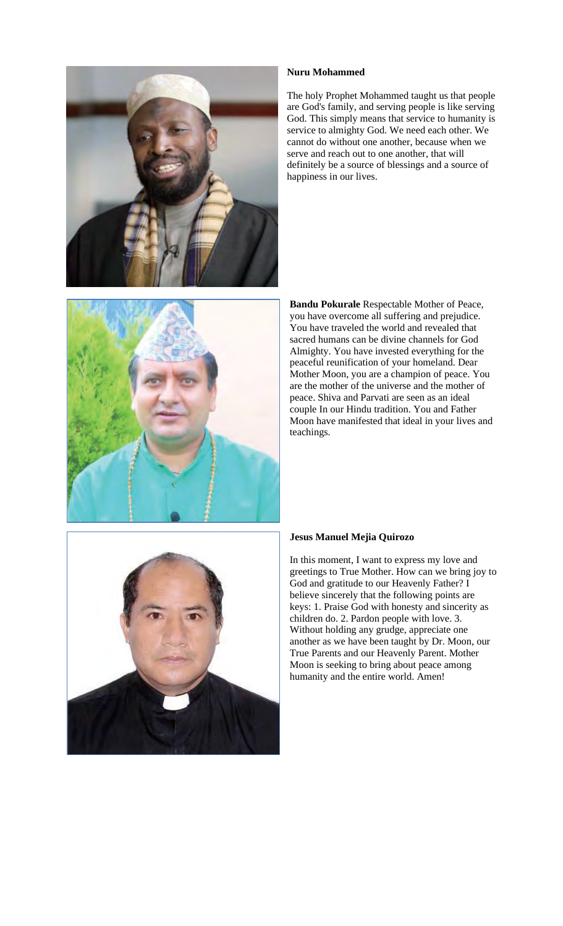



The holy Prophet Mohammed taught us that people are God's family, and serving people is like serving God. This simply means that service to humanity is service to almighty God. We need each other. We cannot do without one another, because when we serve and reach out to one another, that will definitely be a source of blessings and a source of happiness in our lives.



**Bandu Pokurale** Respectable Mother of Peace, you have overcome all suffering and prejudice. You have traveled the world and revealed that sacred humans can be divine channels for God Almighty. You have invested everything for the peaceful reunification of your homeland. Dear Mother Moon, you are a champion of peace. You are the mother of the universe and the mother of peace. Shiva and Parvati are seen as an ideal couple In our Hindu tradition. You and Father Moon have manifested that ideal in your lives and teachings.



## **Jesus Manuel Mejia Quirozo**

In this moment, I want to express my love and greetings to True Mother. How can we bring joy to God and gratitude to our Heavenly Father? I believe sincerely that the following points are keys: 1. Praise God with honesty and sincerity as children do. 2. Pardon people with love. 3. Without holding any grudge, appreciate one another as we have been taught by Dr. Moon, our True Parents and our Heavenly Parent. Mother Moon is seeking to bring about peace among humanity and the entire world. Amen!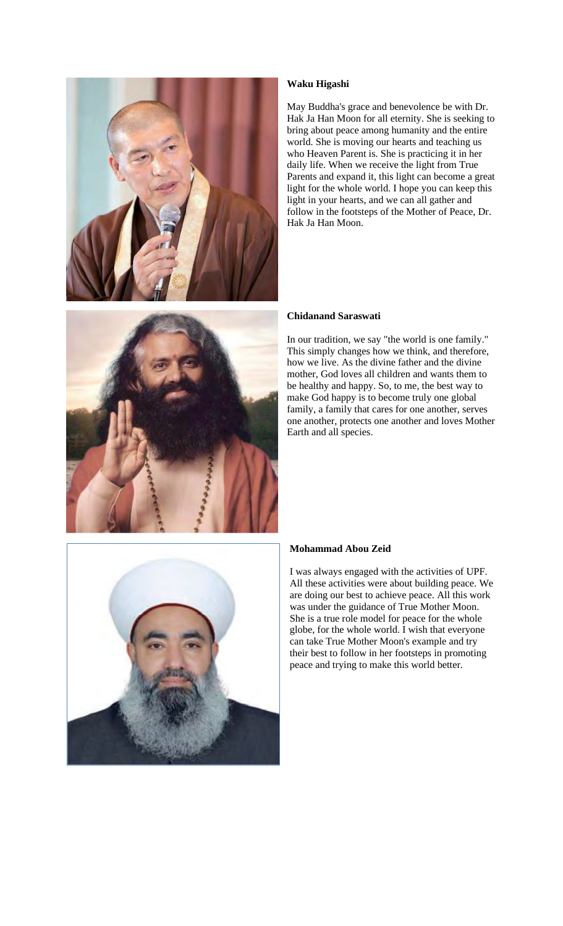



## **Waku Higashi**

May Buddha's grace and benevolence be with Dr. Hak Ja Han Moon for all eternity. She is seeking to bring about peace among humanity and the entire world. She is moving our hearts and teaching us who Heaven Parent is. She is practicing it in her daily life. When we receive the light from True Parents and expand it, this light can become a great light for the whole world. I hope you can keep this light in your hearts, and we can all gather and follow in the footsteps of the Mother of Peace, Dr. Hak Ja Han Moon.

## **Chidanand Saraswati**

In our tradition, we say "the world is one family." This simply changes how we think, and therefore, how we live. As the divine father and the divine mother, God loves all children and wants them to be healthy and happy. So, to me, the best way to make God happy is to become truly one global family, a family that cares for one another, serves one another, protects one another and loves Mother Earth and all species.



#### **Mohammad Abou Zeid**

I was always engaged with the activities of UPF. All these activities were about building peace. We are doing our best to achieve peace. All this work was under the guidance of True Mother Moon. She is a true role model for peace for the whole globe, for the whole world. I wish that everyone can take True Mother Moon's example and try their best to follow in her footsteps in promoting peace and trying to make this world better.